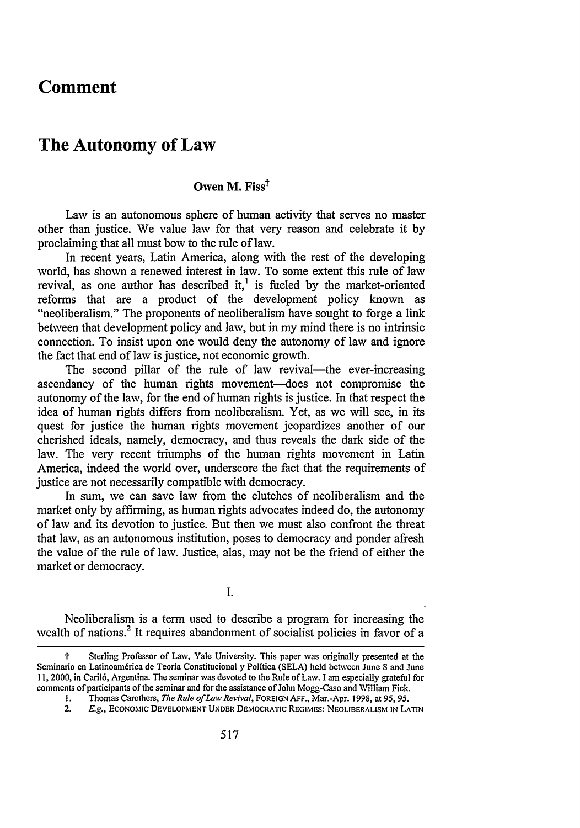## **Comment**

## **The Autonomy of Law**

## **Owen M. Fiss<sup>t</sup>**

Law is an autonomous sphere of human activity that serves no master other than justice. We value law for that very reason and celebrate it by proclaiming that all must bow to the rule of law.

In recent years, Latin America, along with the rest of the developing world, has shown a renewed interest in law. To some extent this rule of law revival, as one author has described it,<sup>1</sup> is fueled by the market-oriented reforms that are a product of the development policy known as "neoliberalism." The proponents of neoliberalism have sought to forge a link between that development policy and law, but in my mind there is no intrinsic connection. To insist upon one would deny the autonomy of law and ignore the fact that end of law is justice, not economic growth.

The second pillar of the rule of law revival—the ever-increasing ascendancy of the human rights movement-does not compromise the autonomy of the law, for the end of human rights is justice. In that respect the idea of human rights differs from neoliberalism. Yet, as we will see, in its quest for justice the human rights movement jeopardizes another of our cherished ideals, namely, democracy, and thus reveals the dark side of the law. The very recent triumphs of the human rights movement in Latin America, indeed the world over, underscore the fact that the requirements of justice are not necessarily compatible with democracy.

In sum, we can save law from the clutches of neoliberalism and the market only by affirming, as human rights advocates indeed do, the autonomy of law and its devotion to justice. But then we must also confront the threat that law, as an autonomous institution, poses to democracy and ponder afresh the value of the rule of law. Justice, alas, may not be the friend of either the market or democracy.

 $\mathbf{L}$ 

Neoliberalism is a term used to describe a program for increasing the wealth of nations.<sup>2</sup> It requires abandonment of socialist policies in favor of a

Sterling Professor of Law, Yale University. This paper was originally presented at the Seminario en Latinoamérica de Teoría Constitucional y Política (SELA) held between June 8 and June 11, 2000, in Caril6, Argentina. The seminar was devoted to the Rule of Law. I am especially grateful for comments of participants of the seminar and for the assistance of John Mogg-Caso and William Fick.

**I.** Thomas Carothers, *The Rule of Law Revival,* FOREIGN AFF., Mar.-Apr. 1998, at **95, 95.**

<sup>2.</sup> *E.g.,* ECONoMIc **DEVELOPMENT UNDER** DEMOCRATIC **REGIMES:** NEOLIBERALISM **IN LATIN**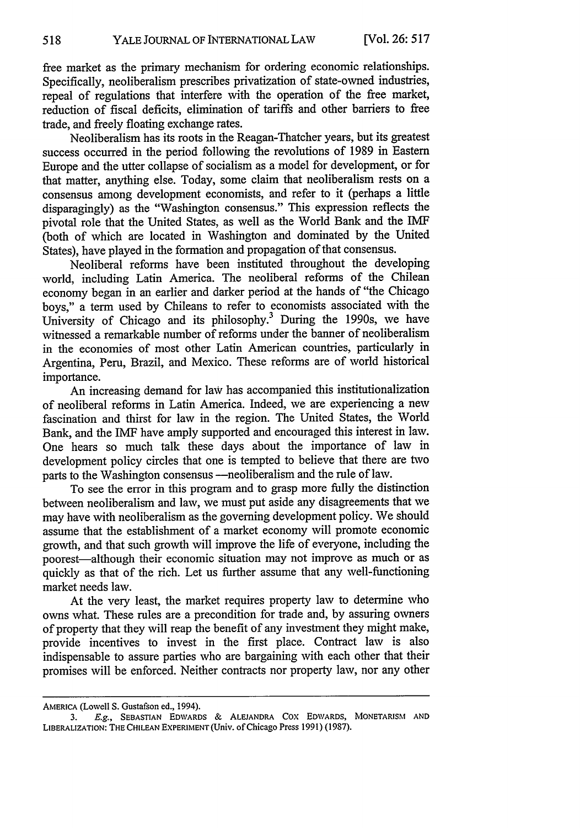free market as the primary mechanism for ordering economic relationships. Specifically, neoliberalism prescribes privatization of state-owned industries, repeal of regulations that interfere with the operation of the free market, reduction of fiscal deficits, elimination of tariffs and other barriers to free trade, and freely floating exchange rates.

Neoliberalism has its roots in the Reagan-Thatcher years, but its greatest success occurred in the period following the revolutions of 1989 in Eastern Europe and the utter collapse of socialism as a model for development, or for that matter, anything else. Today, some claim that neoliberalism rests on a consensus among development economists, and refer to it (perhaps a little disparagingly) as the "Washington consensus." This expression reflects the pivotal role that the United States, as well as the World Bank and the IMF (both of which are located in Washington and dominated by the United States), have played in the formation and propagation of that consensus.

Neoliberal reforms have been instituted throughout the developing world, including Latin America. The neoliberal reforms of the Chilean economy began in an earlier and darker period at the hands of "the Chicago boys," a term used by Chileans to refer to economists associated with the University of Chicago and its philosophy.<sup>3</sup> During the 1990s, we have witnessed a remarkable number of reforms under the banner of neoliberalism in the economies of most other Latin American countries, particularly in Argentina, Peru, Brazil, and Mexico. These reforms are of world historical importance.

An increasing demand for law has accompanied this institutionalization of neoliberal reforms in Latin America. Indeed, we are experiencing a new fascination and thirst for law in the region. The United States, the World Bank, and the IMF have amply supported and encouraged this interest in law. One hears so much talk these days about the importance of law in development policy circles that one is tempted to believe that there are two parts to the Washington consensus - neoliberalism and the rule of law.

To see the error in this program and to grasp more fully the distinction between neoliberalism and law, we must put aside any disagreements that we may have with neoliberalism as the governing development policy. We should assume that the establishment of a market economy will promote economic growth, and that such growth will improve the life of everyone, including the poorest—although their economic situation may not improve as much or as quickly as that of the rich. Let us further assume that any well-functioning market needs law.

At the very least, the market requires property law to determine who owns what. These rules are a precondition for trade and, by assuring owners of property that they will reap the benefit of any investment they might make, provide incentives to invest in the first place. Contract law is also indispensable to assure parties who are bargaining with each other that their promises will be enforced. Neither contracts nor property law, nor any other

AMERICA (Lowell S. Gustafson ed., 1994).

**<sup>3.</sup> E.g., SEBASTIAN** EDWARDS **& ALEJANDRA** Cox EDWARDS, **MONETARISM AND** LIBERALIZATION: THE CHILEAN EXPERIMENT (Univ. of Chicago Press 1991) (1987).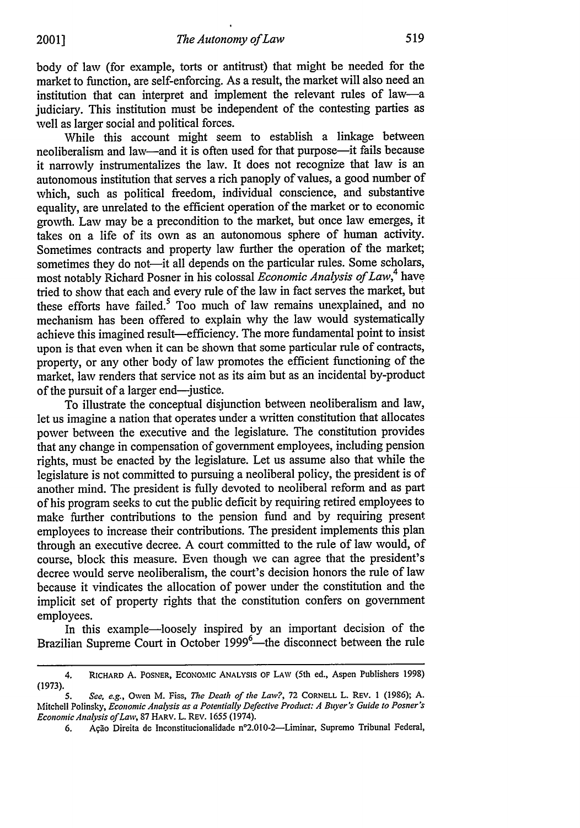body of law (for example, torts or antitrust) that might be needed for the market to function, are self-enforcing. As a result, the market will also need an institution that can interpret and implement the relevant rules of law-a judiciary. This institution must be independent of the contesting parties as well as larger social and political forces.

While this account might seem to establish a linkage between neoliberalism and law—and it is often used for that purpose—it fails because it narrowly instrumentalizes the law. It does not recognize that law is an autonomous institution that serves a rich panoply of values, a good number of which, such as political freedom, individual conscience, and substantive equality, are unrelated to the efficient operation of the market or to economic growth. Law may be a precondition to the market, but once law emerges, it takes on a life of its own as an autonomous sphere of human activity. Sometimes contracts and property law further the operation of the market; sometimes they do not-it all depends on the particular rules. Some scholars, most notably Richard Posner in his colossal *Economic Analysis of Law,4* have tried to show that each and every rule of the law in fact serves the market, but these efforts have failed. $5 \text{ Too}$  much of law remains unexplained, and no mechanism has been offered to explain why the law would systematically achieve this imagined result—efficiency. The more fundamental point to insist upon is that even when it can be shown that some particular rule of contracts, property, or any other body of law promotes the efficient functioning of the market, law renders that service not as its aim but as an incidental by-product of the pursuit of a larger end—justice.

To illustrate the conceptual disjunction between neoliberalism and law, let us imagine a nation that operates under a written constitution that allocates power between the executive and the legislature. The constitution provides that any change in compensation of government employees, including pension rights, must be enacted by the legislature. Let us assume also that while the legislature is not committed to pursuing a neoliberal policy, the president is of another mind. The president is fully devoted to neoliberal reform and as part of his program seeks to cut the public deficit by requiring retired employees to make further contributions to the pension fund and by requiring present employees to increase their contributions. The president implements this plan through an executive decree. A court committed to the rule of law would, of course, block this measure. Even though we can agree that the president's decree would serve neoliberalism, the court's decision honors the rule of law because it vindicates the allocation of power under the constitution and the implicit set of property rights that the constitution confers on government employees.

In this example—loosely inspired by an important decision of the Brazilian Supreme Court in October 1999<sup>6</sup>—the disconnect between the rule

<sup>4.</sup> RICHARD A. POSNER, ECONOMic **ANALYSIS** OF LAW (5th ed., Aspen Publishers 1998) (1973).

*<sup>5.</sup> See, e.g.,* Owen M. Fiss, *The Death of the Law?,* 72 CORNELL L. REV. 1 (1986); A. Mitchell Polinsky, *Economic Analysis as a Potentially Defective Product: A Buyer's Guide to Posner's EconomicAnalysis of Law,* 87 HARV. L. REV. 1655 (1974).

<sup>6.</sup> Ação Direita de Inconstitucionalidade nº2.010-2-Liminar, Supremo Tribunal Federal,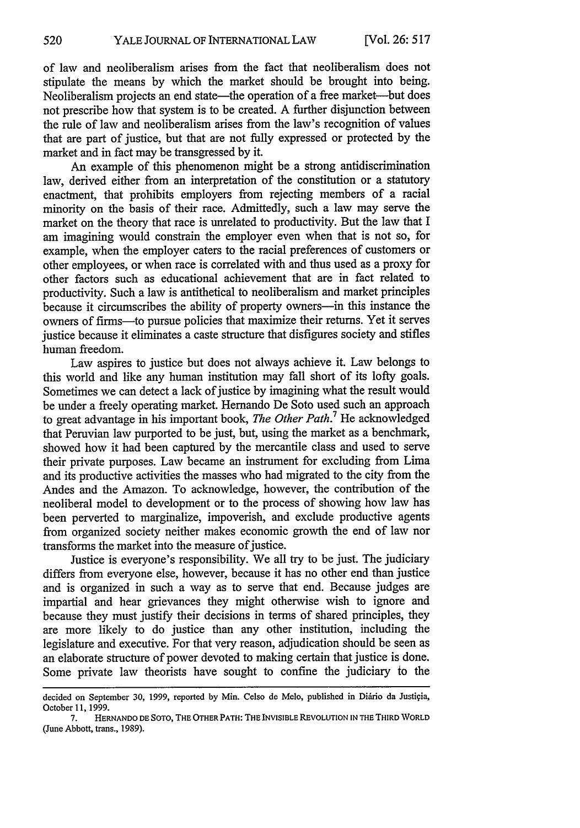of law and neoliberalism arises from the fact that neoliberalism does not stipulate the means by which the market should be brought into being. Neoliberalism projects an end state—the operation of a free market—but does not prescribe how that system is to be created. A further disjunction between the rule of law and neoliberalism arises from the law's recognition of values that are part of justice, but that are not fully expressed or protected by the market and in fact may be transgressed by it.

An example of this phenomenon might be a strong antidiscrimination law, derived either from an interpretation of the constitution or a statutory enactment, that prohibits employers from rejecting members of a racial minority on the basis of their race. Admittedly, such a law may serve the market on the theory that race is unrelated to productivity. But the law that I am imagining would constrain the employer even when that is not so, for example, when the employer caters to the racial preferences of customers or other employees, or when race is correlated with and thus used as a proxy for other factors such as educational achievement that are in fact related to productivity. Such a law is antithetical to neoliberalism and market principles because it circumscribes the ability of property owners—in this instance the owners of firms-to pursue policies that maximize their returns. Yet it serves justice because it eliminates a caste structure that disfigures society and stifles human freedom.

Law aspires to justice but does not always achieve it. Law belongs to this world and like any human institution may fall short of its lofty goals. Sometimes we can detect a lack of justice by imagining what the result would be under a freely operating market. Hernando De Soto used such an approach to great advantage in his important book, *The Other Path*.<sup>7</sup> He acknowledged that Peruvian law purported to be just, but, using the market as a benchmark, showed how it had been captured by the mercantile class and used to serve their private purposes. Law became an instrument for excluding from Lima and its productive activities the masses who had migrated to the city from the Andes and the Amazon. To acknowledge, however, the contribution of the neoliberal model to development or to the process of showing how law has been perverted to marginalize, impoverish, and exclude productive agents from organized society neither makes economic growth the end of law nor transforms the market into the measure of justice.

Justice is everyone's responsibility. We all try to be just. The judiciary differs from everyone else, however, because it has no other end than justice and is organized in such a way as to serve that end. Because judges are impartial and hear grievances they might otherwise wish to ignore and because they must justify their decisions in terms of shared principles, they are more likely to do justice than any other institution, including the legislature and executive. For that very reason, adjudication should be seen as an elaborate structure of power devoted to making certain that justice is done. Some private law theorists have sought to confine the judiciary to the

decided on September 30, 1999, reported by Min. Celso de Melo, published in Diário da Justiçia, October 11, 1999.

**<sup>7.</sup> HERNANDO DE** SOTO, **THE OTHER** PATH: **THE INVISIBLE** REVOLUTION **IN** THE **THIRD** WORLD (June Abbott, trans., **1989).**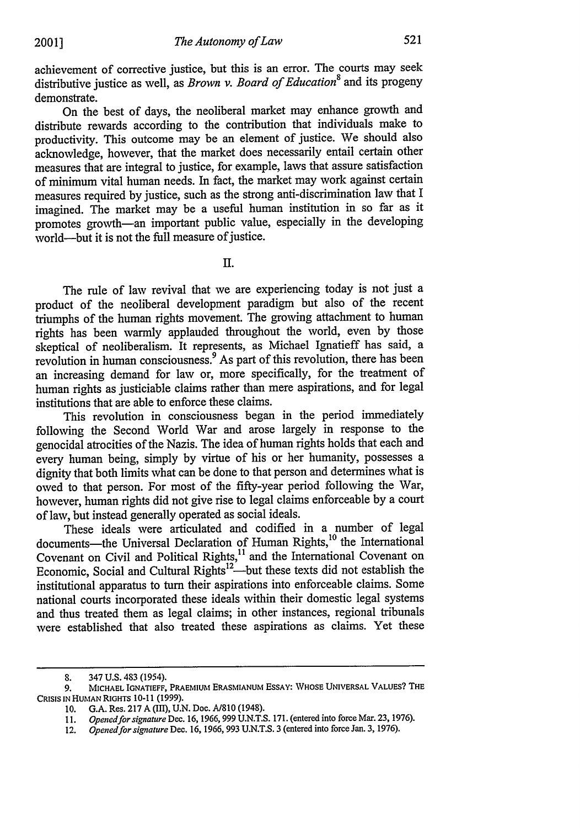achievement of corrective justice, but this is an error. The courts may seek distributive justice as well, as *Brown v. Board of Education8* and its progeny demonstrate.

On the best of days, the neoliberal market may enhance growth and distribute rewards according to the contribution that individuals make to productivity. This outcome may be an element of justice. We should also acknowledge, however, that the market does necessarily entail certain other measures that are integral to justice, for example, laws that assure satisfaction of minimum vital human needs. In fact, the market may work against certain measures required by justice, such as the strong anti-discrimination law that I imagined. The market may be a useful human institution in so far as it promotes growth-an important public value, especially in the developing world-but it is not the full measure of justice.

II.

The rule of law revival that we are experiencing today is not just a product of the neoliberal development paradigm but also of the recent triumphs of the human rights movement. The growing attachment to human rights has been warmly applauded throughout the world, even by those skeptical of neoliberalism. It represents, as Michael Ignatieff has said, a revolution in human consciousness.<sup>9</sup> As part of this revolution, there has been an increasing demand for law or, more specifically, for the treatment of human rights as justiciable claims rather than mere aspirations, and for legal institutions that are able to enforce these claims.

This revolution in consciousness began in the period immediately following the Second World War and arose largely in response to the genocidal atrocities of the Nazis. The idea of human rights holds that each and every human being, simply by virtue of his or her humanity, possesses a dignity that both limits what can be done to that person and determines what is owed to that person. For most of the fifty-year period following the War, however, human rights did not give rise to legal claims enforceable by a court of law, but instead generally operated as social ideals.

These ideals were articulated and codified in a number of legal documents-the Universal Declaration of Human Rights,<sup>10</sup> the International Covenant on Civil and Political Rights, $11$  and the International Covenant on Economic, Social and Cultural Rights<sup>12</sup>—but these texts did not establish the institutional apparatus to turn their aspirations into enforceable claims. Some national courts incorporated these ideals within their domestic legal systems and thus treated them as legal claims; in other instances, regional tribunals were established that also treated these aspirations as claims. Yet these

**<sup>8.</sup>** 347 U.S. 483 (1954).

**<sup>9.</sup> MICHAEL** IGNATIEFF, PRAEMIUM ERASMIANUM ESSAY: **WHOSE UNIVERSAL VALUES?** THE CRISIS **IN HUMAN** RIGHTS **10-11 (1999).**

**<sup>10.</sup> G.A.** Res. **217 A** (III), **U.N.** Doc. **A/810** (1948).

**<sup>11.</sup>** *Openedfor signature* Dec. **16,1966,999 U.N.T.S. 171.** (entered into force Mar. **23,1976).**

<sup>12.</sup> *Opened for signature* Dec. **16, 1966, 993 U.N.T.S. 3** (entered into force Jan. **3, 1976).**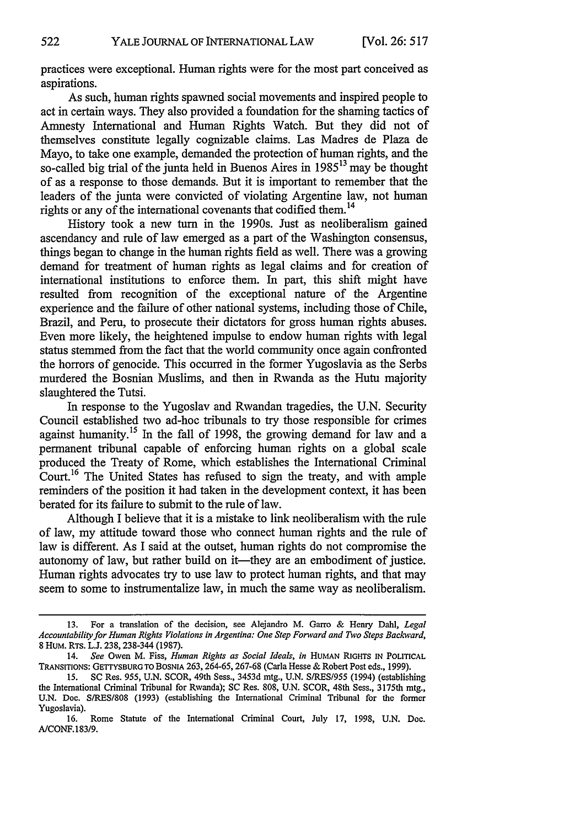practices were exceptional. Human rights were for the most part conceived as aspirations.

As such, human rights spawned social movements and inspired people to act in certain ways. They also provided a foundation for the shaming tactics of Amnesty International and Human Rights Watch. But they did not of themselves constitute legally cognizable claims. Las Madres de Plaza de Mayo, to take one example, demanded the protection of human rights, and the so-called big trial of the junta held in Buenos Aires in 1985<sup>13</sup> may be thought of as a response to those demands. But it is important to remember that the leaders of the junta were convicted of violating Argentine law, not human rights or any of the international covenants that codified them.<sup>14</sup>

History took a new turn in the 1990s. Just as neoliberalism gained ascendancy and rule of law emerged as a part of the Washington consensus, things began to change in the human rights field as well. There was a growing demand for treatment of human rights as legal claims and for creation of international institutions to enforce them. In part, this shift might have resulted from recognition of the exceptional nature of the Argentine experience and the failure of other national systems, including those of Chile, Brazil, and Peru, to prosecute their dictators for gross human rights abuses. Even more likely, the heightened impulse to endow human rights with legal status stemmed from the fact that the world community once again confronted the horrors of genocide. This occurred in the former Yugoslavia as the Serbs murdered the Bosnian Muslims, and then in Rwanda as the Hutu majority slaughtered the Tutsi.

In response to the Yugoslav and Rwandan tragedies, the U.N. Security Council established two ad-hoc tribunals to try those responsible for crimes against humanity.<sup>15</sup> In the fall of 1998, the growing demand for law and a permanent tribunal capable of enforcing human rights on a global scale produced the Treaty of Rome, which establishes the International Criminal Court.<sup>16</sup> The United States has refused to sign the treaty, and with ample reminders of the position it had taken in the development context, it has been berated for its failure to submit to the rule of law.

Although I believe that it is a mistake to link neoliberalism with the rule of law, my attitude toward those who connect human rights and the rule of law is different. As I said at the outset, human rights do not compromise the autonomy of law, but rather build on it—they are an embodiment of justice. Human rights advocates try to use law to protect human rights, and that may seem to some to instrumentalize law, in much the same way as neoliberalism.

<sup>13.</sup> For a translation of the decision, see Alejandro M. Garro & Henry Dahl, *Legal Accountability for Human Rights Violations in Argentina: One Step Forward and Two Steps Backward,* 8 HUM. RTs. L.J. 238,238-344 (1987).

<sup>14.</sup> *See* Owen M. Fiss, *Human Rights as Social Ideals, in* **HUMAN** RIGHTS **IN** POLITICAL TRANSITIONS: GETTYSBURG TO **BOSNIA** 263, 264-65, 267-68 (Carla Hesse & Robert Post eds., 1999).

<sup>15.</sup> SC Res. **955,** U.N. SCOR, 49th Sess., 3453d mtg., U.N. **S/RES/955** (1994) (establishing the International Criminal Tribunal for Rwanda); SC Res. 808, U.N. SCOR, 48th Sess., 3175th mtg., U.N. Doe. S/RES/808 (1993) (establishing the International Criminal Tribunal for the former Yugoslavia).

<sup>16.</sup> Rome Statute of the International Criminal Court, July 17, 1998, U.N. Doc. A/CONF. 183/9.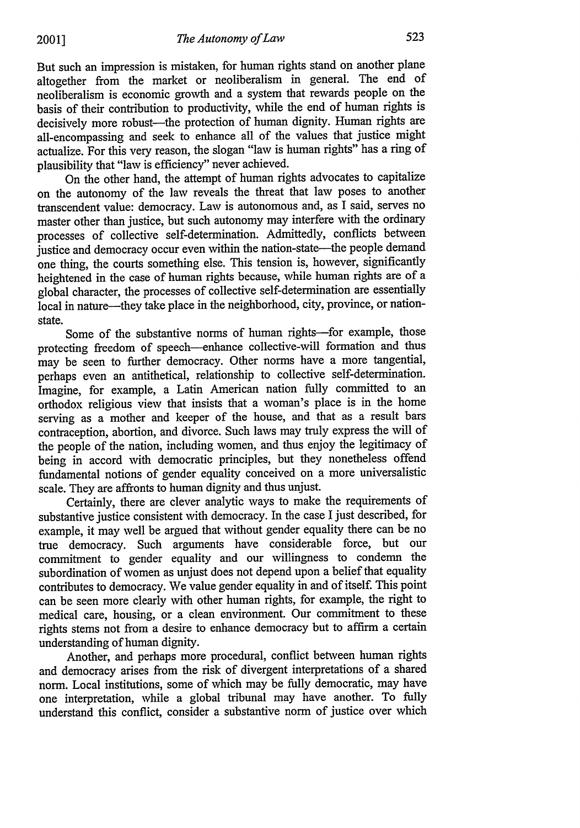But such an impression is mistaken, for human rights stand on another plane altogether from the market or neoliberalism in general. The end of neoliberalism is economic growth and a system that rewards people on the basis of their contribution to productivity, while the end of human rights is decisively more robust-the protection of human dignity. Human rights are all-encompassing and seek to enhance all of the values that justice might actualize. For this very reason, the slogan "law is human rights" has a ring of plausibility that "law is efficiency" never achieved.

On the other hand, the attempt of human rights advocates to capitalize on the autonomy of the law reveals the threat that law poses to another transcendent value: democracy. Law is autonomous and, as I said, serves no master other than justice, but such autonomy may interfere with the ordinary processes of collective self-determination. Admittedly, conflicts between justice and democracy occur even within the nation-state--the people demand one thing, the courts something else. This tension is, however, significantly heightened in the case of human rights because, while human rights are of a global character, the processes of collective self-determination are essentially local in nature-they take place in the neighborhood, city, province, or nationstate.

Some of the substantive norms of human rights-for example, those protecting freedom of speech--enhance collective-will formation and thus may be seen to further democracy. Other norms have a more tangential, perhaps even an antithetical, relationship to collective self-determination. Imagine, for example, a Latin American nation fully committed to an orthodox religious view that insists that a woman's place is in the home serving as a mother and keeper of the house, and that as a result bars contraception, abortion, and divorce. Such laws may truly express the will of the people of the nation, including women, and thus enjoy the legitimacy of being in accord with democratic principles, but they nonetheless offend fundamental notions of gender equality conceived on a more universalistic scale. They are affronts to human dignity and thus unjust.

Certainly, there are clever analytic ways to make the requirements of substantive justice consistent with democracy. In the case I just described, for example, it may well be argued that without gender equality there can be no true democracy. Such arguments have considerable force, but our commitment to gender equality and our willingness to condemn the subordination of women as unjust does not depend upon a belief that equality contributes to democracy. We value gender equality in and of itself. This point can be seen more clearly with other human rights, for example, the right to medical care, housing, or a clean environment. Our commitment to these rights stems not from a desire to enhance democracy but to affirm a certain understanding of human dignity.

Another, and perhaps more procedural, conflict between human rights and democracy arises from the risk of divergent interpretations of a shared norm. Local institutions, some of which may be fully democratic, may have one interpretation, while a global tribunal may have another. To fully understand this conflict, consider a substantive norm of justice over which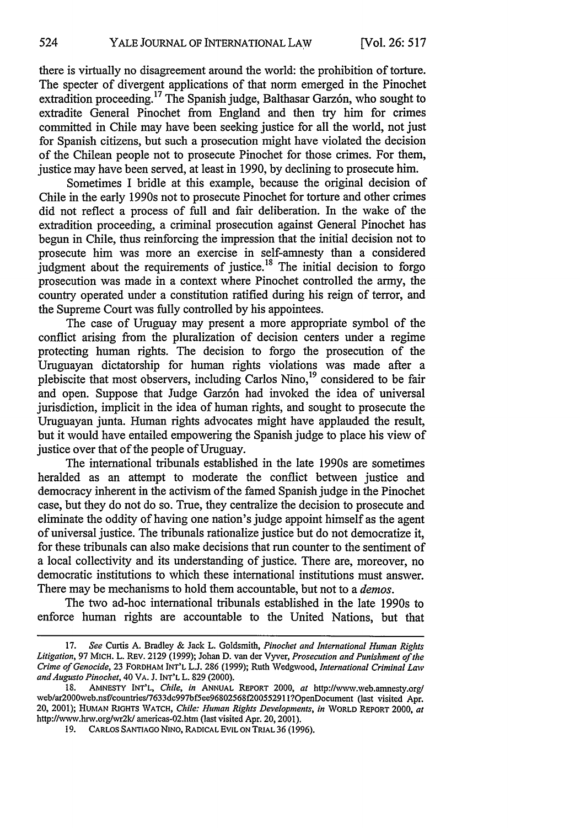524

there is virtually no disagreement around the world: the prohibition of torture. The specter of divergent applications of that norm emerged in the Pinochet extradition proceeding.<sup>17</sup> The Spanish judge, Balthasar Garzón, who sought to extradite General Pinochet from England and then try him for crimes committed in Chile may have been seeking justice for all the world, not just for Spanish citizens, but such a prosecution might have violated the decision of the Chilean people not to prosecute Pinochet for those crimes. For them, justice may have been served, at least in 1990, by declining to prosecute him.

Sometimes I bridle at this example, because the original decision of Chile in the early 1990s not to prosecute Pinochet for torture and other crimes did not reflect a process of full and fair deliberation. In the wake of the extradition proceeding, a criminal prosecution against General Pinochet has begun in Chile, thus reinforcing the impression that the initial decision not to prosecute him was more an exercise in self-amnesty than a considered judgment about the requirements of justice.<sup>18</sup> The initial decision to forgo prosecution was made in a context where Pinochet controlled the army, the country operated under a constitution ratified during his reign of terror, and the Supreme Court was fully controlled by his appointees.

The case of Uruguay may present a more appropriate symbol of the conflict arising from the pluralization of decision centers under a regime protecting human rights. The decision to forgo the prosecution of the Uruguayan dictatorship for human rights violations was made after a plebiscite that most observers, including Carlos Nino, 19 considered to be fair and open. Suppose that Judge Garzón had invoked the idea of universal jurisdiction, implicit in the idea of human rights, and sought to prosecute the Uruguayan junta. Human rights advocates might have applauded the result, but it would have entailed empowering the Spanish judge to place his view of justice over that of the people of Uruguay.

The international tribunals established in the late 1990s are sometimes heralded as an attempt to moderate the conflict between justice and democracy inherent in the activism of the famed Spanish judge in the Pinochet case, but they do not do so. True, they centralize the decision to prosecute and eliminate the oddity of having one nation's judge appoint himself as the agent of universal justice. The tribunals rationalize justice but do not democratize it, for these tribunals can also make decisions that run counter to the sentiment of a local collectivity and its understanding of justice. There are, moreover, no democratic institutions to which these international institutions must answer. There may be mechanisms to hold them accountable, but not to a *demos.*

The two ad-hoc international tribunals established in the late 1990s to enforce human rights are accountable to the United Nations, but that

**<sup>17.</sup>** *See* Curtis **A.** Bradley & Jack L. Goldsmith, *Pinochet and International Human Rights Litigation,* 97 MICH. L. REV. 2129 (1999); Johan D. van der Vyver, *Prosecution and Punishment of the Crime of Genocide,* 23 FORDHAM **INT'L L.J.** 286 (1999); Ruth Wedgwood, *International Criminal Law andAugusto Pinochet,* 40 VA. J. **INT'L** L. 829 (2000).

**<sup>18.</sup>** AMNESTY **INT'L,** *Chile, in* **ANNUAL REPORT** 2000, *at* http://www.web.amnesty.org/ web/ar2000web.nsf/countries/7633dc997bf5ee96802568f20055291 1?OpenDocument (last visited Apr. 20, 2001); **HUMAN** RIGHTS WATCH, *Chile: Human Rights Developments, in* WORLD **REPORT** 2000, *at* http://www.hrw.org/wr2k/ americas-02.htm (last visited Apr. 20, 2001).

<sup>19.</sup> CARLOS SANTIAGO NINO, RADICAL EVIL ON TRIAL 36 (1996).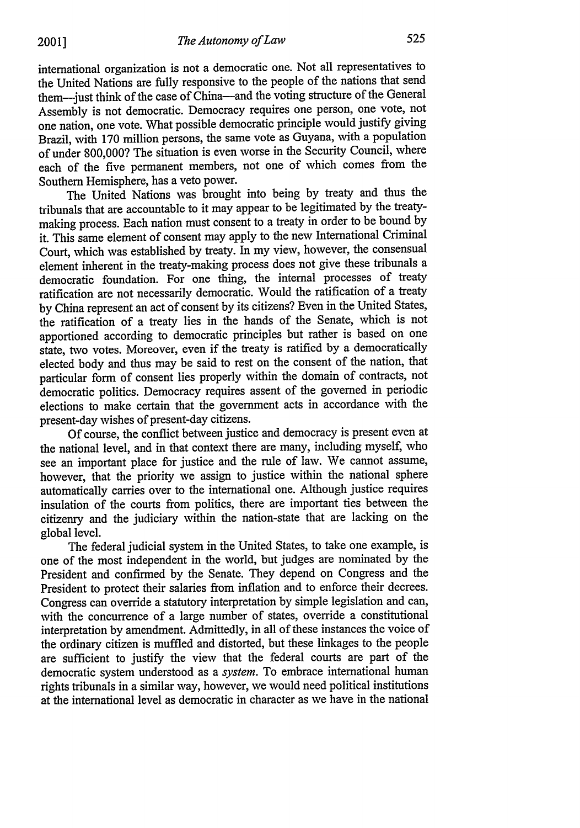international organization is not a democratic one. Not all representatives to the United Nations are fully responsive to the people of the nations that send them-just think of the case of China-and the voting structure of the General Assembly is not democratic. Democracy requires one person, one vote, not one nation, one vote. What possible democratic principle would justify giving Brazil, with 170 million persons, the same vote as Guyana, with a population of under 800,000? The situation is even worse in the Security Council, where each of the five permanent members, not one of which comes from the Southern Hemisphere, has a veto power.

The United Nations was brought into being by treaty and thus the tribunals that are accountable to it may appear to be legitimated by the treatymaking process. Each nation must consent to a treaty in order to be bound by it. This same element of consent may apply to the new International Criminal Court, which was established by treaty. In my view, however, the consensual element inherent in the treaty-making process does not give these tribunals a democratic foundation. For one thing, the internal processes of treaty ratification are not necessarily democratic. Would the ratification of a treaty by China represent an act of consent by its citizens? Even in the United States, the ratification of a treaty lies in the hands of the Senate, which is not apportioned according to democratic principles but rather is based on one state, two votes. Moreover, even if the treaty is ratified by a democratically elected body and thus may be said to rest on the consent of the nation, that particular form of consent lies properly within the domain of contracts, not democratic politics. Democracy requires assent of the governed in periodic elections to make certain that the government acts in accordance with the present-day wishes of present-day citizens.

Of course, the conflict between justice and democracy is present even at the national level, and in that context there are many, including myself, who see an important place for justice and the rule of law. We cannot assume, however, that the priority we assign to justice within the national sphere automatically carries over to the international one. Although justice requires insulation of the courts from politics, there are important ties between the citizenry and the judiciary within the nation-state that are lacking on the global level.

The federal judicial system in the United States, to take one example, is one of the most independent in the world, but judges are nominated by the President and confirmed by the Senate. They depend on Congress and the President to protect their salaries from inflation and to enforce their decrees. Congress can override a statutory interpretation by simple legislation and can, with the concurrence of a large number of states, override a constitutional interpretation by amendment. Admittedly, in all of these instances the voice of the ordinary citizen is muffled and distorted, but these linkages to the people are sufficient to justify the view that the federal courts are part of the democratic system understood as a *system.* To embrace international human rights tribunals in a similar way, however, we would need political institutions at the international level as democratic in character as we have in the national